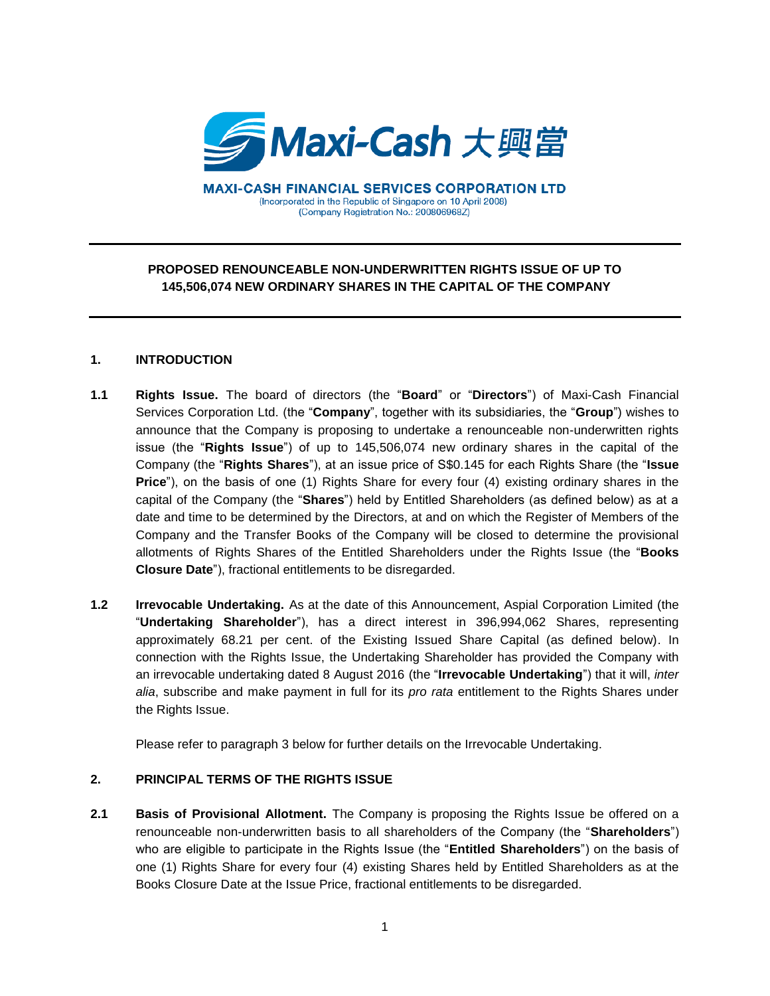

**MAXI-CASH FINANCIAL SERVICES CORPORATION LTD** (Incorporated in the Republic of Singapore on 10 April 2008) (Company Registration No.: 200806968Z)

# **PROPOSED RENOUNCEABLE NON-UNDERWRITTEN RIGHTS ISSUE OF UP TO 145,506,074 NEW ORDINARY SHARES IN THE CAPITAL OF THE COMPANY**

#### **1. INTRODUCTION**

- **1.1 Rights Issue.** The board of directors (the "**Board**" or "**Directors**") of Maxi-Cash Financial Services Corporation Ltd. (the "**Company**", together with its subsidiaries, the "**Group**") wishes to announce that the Company is proposing to undertake a renounceable non-underwritten rights issue (the "**Rights Issue**") of up to 145,506,074 new ordinary shares in the capital of the Company (the "**Rights Shares**"), at an issue price of S\$0.145 for each Rights Share (the "**Issue Price**"), on the basis of one (1) Rights Share for every four (4) existing ordinary shares in the capital of the Company (the "**Shares**") held by Entitled Shareholders (as defined below) as at a date and time to be determined by the Directors, at and on which the Register of Members of the Company and the Transfer Books of the Company will be closed to determine the provisional allotments of Rights Shares of the Entitled Shareholders under the Rights Issue (the "**Books Closure Date**"), fractional entitlements to be disregarded.
- **1.2 Irrevocable Undertaking.** As at the date of this Announcement, Aspial Corporation Limited (the "**Undertaking Shareholder**"), has a direct interest in 396,994,062 Shares, representing approximately 68.21 per cent. of the Existing Issued Share Capital (as defined below). In connection with the Rights Issue, the Undertaking Shareholder has provided the Company with an irrevocable undertaking dated 8 August 2016 (the "**Irrevocable Undertaking**") that it will, *inter alia*, subscribe and make payment in full for its *pro rata* entitlement to the Rights Shares under the Rights Issue.

Please refer to paragraph 3 below for further details on the Irrevocable Undertaking.

#### **2. PRINCIPAL TERMS OF THE RIGHTS ISSUE**

**2.1 Basis of Provisional Allotment.** The Company is proposing the Rights Issue be offered on a renounceable non-underwritten basis to all shareholders of the Company (the "**Shareholders**") who are eligible to participate in the Rights Issue (the "**Entitled Shareholders**") on the basis of one (1) Rights Share for every four (4) existing Shares held by Entitled Shareholders as at the Books Closure Date at the Issue Price, fractional entitlements to be disregarded.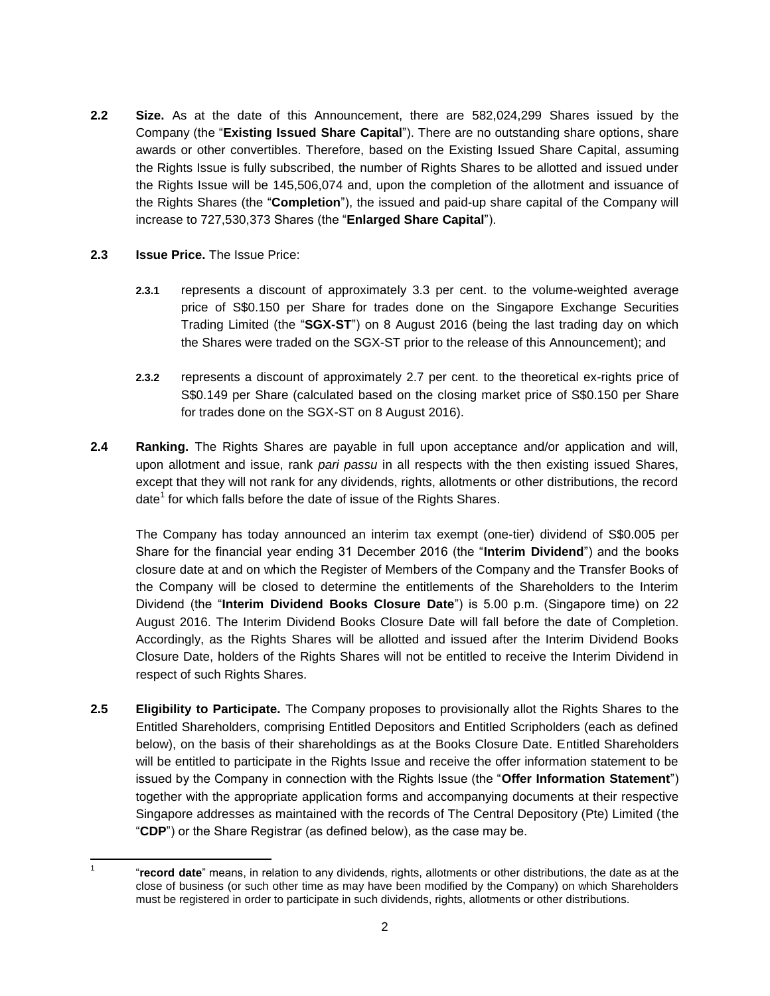- **2.2 Size.** As at the date of this Announcement, there are 582,024,299 Shares issued by the Company (the "**Existing Issued Share Capital**"). There are no outstanding share options, share awards or other convertibles. Therefore, based on the Existing Issued Share Capital, assuming the Rights Issue is fully subscribed, the number of Rights Shares to be allotted and issued under the Rights Issue will be 145,506,074 and, upon the completion of the allotment and issuance of the Rights Shares (the "**Completion**"), the issued and paid-up share capital of the Company will increase to 727,530,373 Shares (the "**Enlarged Share Capital**").
- **2.3 Issue Price.** The Issue Price:

 $\frac{1}{1}$ 

- **2.3.1** represents a discount of approximately 3.3 per cent. to the volume-weighted average price of S\$0.150 per Share for trades done on the Singapore Exchange Securities Trading Limited (the "**SGX-ST**") on 8 August 2016 (being the last trading day on which the Shares were traded on the SGX-ST prior to the release of this Announcement); and
- **2.3.2** represents a discount of approximately 2.7 per cent. to the theoretical ex-rights price of S\$0.149 per Share (calculated based on the closing market price of S\$0.150 per Share for trades done on the SGX-ST on 8 August 2016).
- **2.4 Ranking.** The Rights Shares are payable in full upon acceptance and/or application and will, upon allotment and issue, rank *pari passu* in all respects with the then existing issued Shares, except that they will not rank for any dividends, rights, allotments or other distributions, the record date<sup>1</sup> for which falls before the date of issue of the Rights Shares.

The Company has today announced an interim tax exempt (one-tier) dividend of S\$0.005 per Share for the financial year ending 31 December 2016 (the "**Interim Dividend**") and the books closure date at and on which the Register of Members of the Company and the Transfer Books of the Company will be closed to determine the entitlements of the Shareholders to the Interim Dividend (the "**Interim Dividend Books Closure Date**") is 5.00 p.m. (Singapore time) on 22 August 2016. The Interim Dividend Books Closure Date will fall before the date of Completion. Accordingly, as the Rights Shares will be allotted and issued after the Interim Dividend Books Closure Date, holders of the Rights Shares will not be entitled to receive the Interim Dividend in respect of such Rights Shares.

**2.5 Eligibility to Participate.** The Company proposes to provisionally allot the Rights Shares to the Entitled Shareholders, comprising Entitled Depositors and Entitled Scripholders (each as defined below), on the basis of their shareholdings as at the Books Closure Date. Entitled Shareholders will be entitled to participate in the Rights Issue and receive the offer information statement to be issued by the Company in connection with the Rights Issue (the "**Offer Information Statement**") together with the appropriate application forms and accompanying documents at their respective Singapore addresses as maintained with the records of The Central Depository (Pte) Limited (the "**CDP**") or the Share Registrar (as defined below), as the case may be.

<sup>&</sup>quot;**record date**" means, in relation to any dividends, rights, allotments or other distributions, the date as at the close of business (or such other time as may have been modified by the Company) on which Shareholders must be registered in order to participate in such dividends, rights, allotments or other distributions.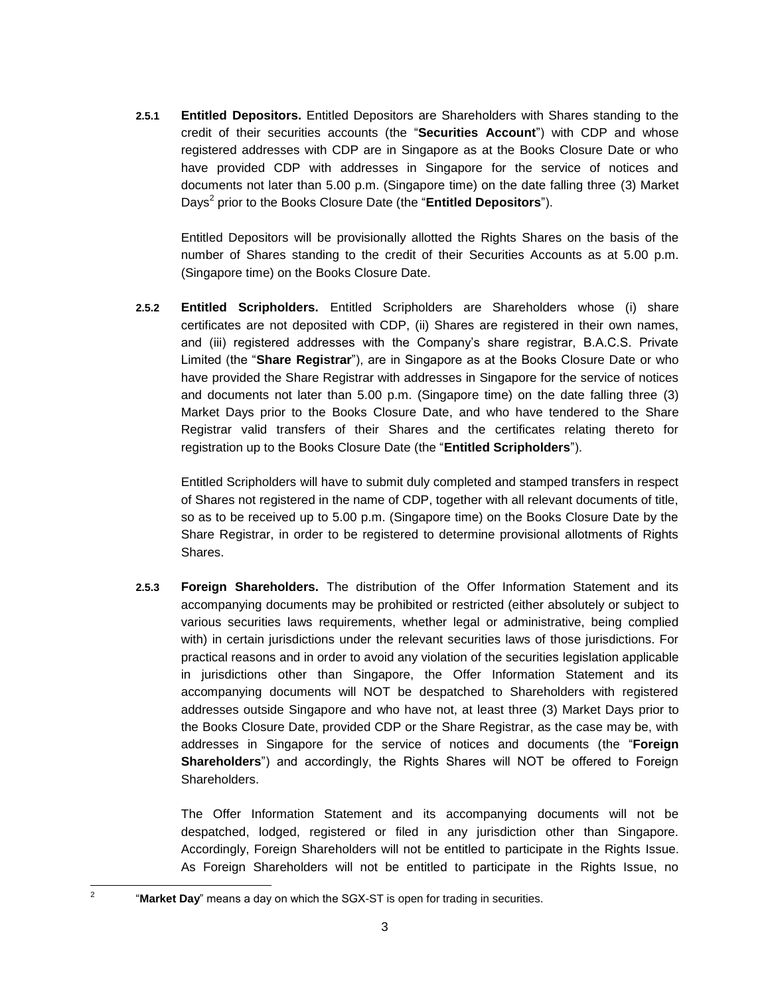**2.5.1 Entitled Depositors.** Entitled Depositors are Shareholders with Shares standing to the credit of their securities accounts (the "**Securities Account**") with CDP and whose registered addresses with CDP are in Singapore as at the Books Closure Date or who have provided CDP with addresses in Singapore for the service of notices and documents not later than 5.00 p.m. (Singapore time) on the date falling three (3) Market Days<sup>2</sup> prior to the Books Closure Date (the "**Entitled Depositors**").

Entitled Depositors will be provisionally allotted the Rights Shares on the basis of the number of Shares standing to the credit of their Securities Accounts as at 5.00 p.m. (Singapore time) on the Books Closure Date.

**2.5.2 Entitled Scripholders.** Entitled Scripholders are Shareholders whose (i) share certificates are not deposited with CDP, (ii) Shares are registered in their own names, and (iii) registered addresses with the Company's share registrar, B.A.C.S. Private Limited (the "**Share Registrar**"), are in Singapore as at the Books Closure Date or who have provided the Share Registrar with addresses in Singapore for the service of notices and documents not later than 5.00 p.m. (Singapore time) on the date falling three (3) Market Days prior to the Books Closure Date, and who have tendered to the Share Registrar valid transfers of their Shares and the certificates relating thereto for registration up to the Books Closure Date (the "**Entitled Scripholders**").

Entitled Scripholders will have to submit duly completed and stamped transfers in respect of Shares not registered in the name of CDP, together with all relevant documents of title, so as to be received up to 5.00 p.m. (Singapore time) on the Books Closure Date by the Share Registrar, in order to be registered to determine provisional allotments of Rights Shares.

**2.5.3 Foreign Shareholders.** The distribution of the Offer Information Statement and its accompanying documents may be prohibited or restricted (either absolutely or subject to various securities laws requirements, whether legal or administrative, being complied with) in certain jurisdictions under the relevant securities laws of those jurisdictions. For practical reasons and in order to avoid any violation of the securities legislation applicable in jurisdictions other than Singapore, the Offer Information Statement and its accompanying documents will NOT be despatched to Shareholders with registered addresses outside Singapore and who have not, at least three (3) Market Days prior to the Books Closure Date, provided CDP or the Share Registrar, as the case may be, with addresses in Singapore for the service of notices and documents (the "**Foreign Shareholders**") and accordingly, the Rights Shares will NOT be offered to Foreign Shareholders.

The Offer Information Statement and its accompanying documents will not be despatched, lodged, registered or filed in any jurisdiction other than Singapore. Accordingly, Foreign Shareholders will not be entitled to participate in the Rights Issue. As Foreign Shareholders will not be entitled to participate in the Rights Issue, no

 $\frac{1}{2}$ 

<sup>&</sup>quot;**Market Day**" means a day on which the SGX-ST is open for trading in securities.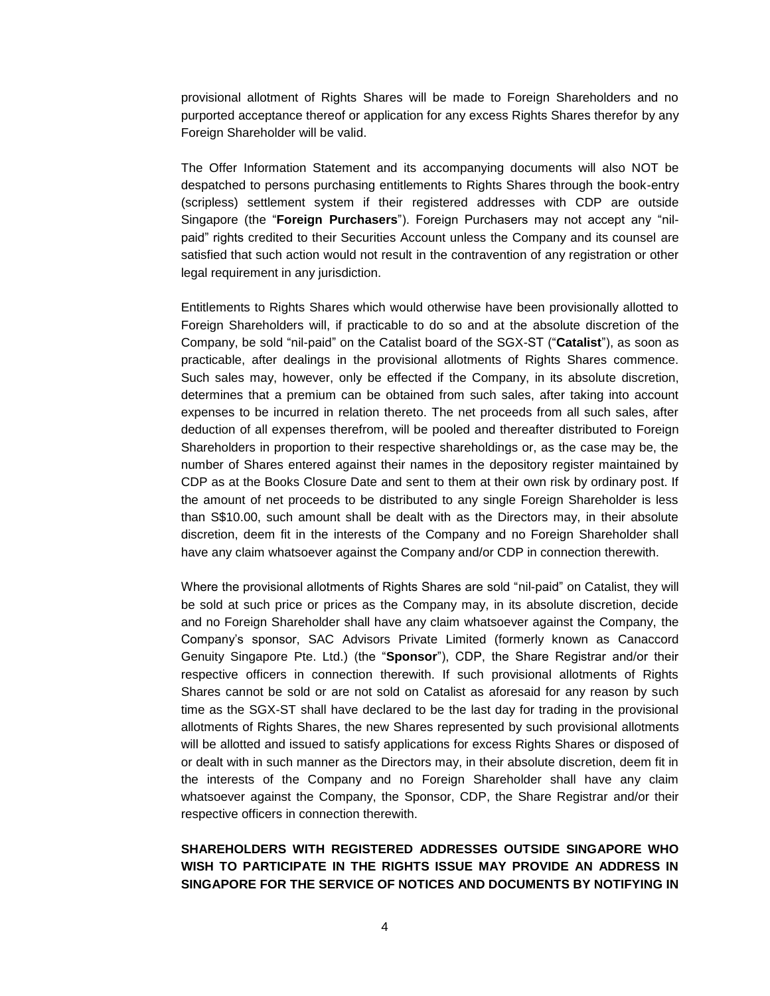provisional allotment of Rights Shares will be made to Foreign Shareholders and no purported acceptance thereof or application for any excess Rights Shares therefor by any Foreign Shareholder will be valid.

The Offer Information Statement and its accompanying documents will also NOT be despatched to persons purchasing entitlements to Rights Shares through the book-entry (scripless) settlement system if their registered addresses with CDP are outside Singapore (the "**Foreign Purchasers**"). Foreign Purchasers may not accept any "nilpaid" rights credited to their Securities Account unless the Company and its counsel are satisfied that such action would not result in the contravention of any registration or other legal requirement in any jurisdiction.

Entitlements to Rights Shares which would otherwise have been provisionally allotted to Foreign Shareholders will, if practicable to do so and at the absolute discretion of the Company, be sold "nil-paid" on the Catalist board of the SGX-ST ("**Catalist**"), as soon as practicable, after dealings in the provisional allotments of Rights Shares commence. Such sales may, however, only be effected if the Company, in its absolute discretion, determines that a premium can be obtained from such sales, after taking into account expenses to be incurred in relation thereto. The net proceeds from all such sales, after deduction of all expenses therefrom, will be pooled and thereafter distributed to Foreign Shareholders in proportion to their respective shareholdings or, as the case may be, the number of Shares entered against their names in the depository register maintained by CDP as at the Books Closure Date and sent to them at their own risk by ordinary post. If the amount of net proceeds to be distributed to any single Foreign Shareholder is less than S\$10.00, such amount shall be dealt with as the Directors may, in their absolute discretion, deem fit in the interests of the Company and no Foreign Shareholder shall have any claim whatsoever against the Company and/or CDP in connection therewith.

Where the provisional allotments of Rights Shares are sold "nil-paid" on Catalist, they will be sold at such price or prices as the Company may, in its absolute discretion, decide and no Foreign Shareholder shall have any claim whatsoever against the Company, the Company's sponsor, SAC Advisors Private Limited (formerly known as Canaccord Genuity Singapore Pte. Ltd.) (the "**Sponsor**"), CDP, the Share Registrar and/or their respective officers in connection therewith. If such provisional allotments of Rights Shares cannot be sold or are not sold on Catalist as aforesaid for any reason by such time as the SGX-ST shall have declared to be the last day for trading in the provisional allotments of Rights Shares, the new Shares represented by such provisional allotments will be allotted and issued to satisfy applications for excess Rights Shares or disposed of or dealt with in such manner as the Directors may, in their absolute discretion, deem fit in the interests of the Company and no Foreign Shareholder shall have any claim whatsoever against the Company, the Sponsor, CDP, the Share Registrar and/or their respective officers in connection therewith.

### **SHAREHOLDERS WITH REGISTERED ADDRESSES OUTSIDE SINGAPORE WHO WISH TO PARTICIPATE IN THE RIGHTS ISSUE MAY PROVIDE AN ADDRESS IN SINGAPORE FOR THE SERVICE OF NOTICES AND DOCUMENTS BY NOTIFYING IN**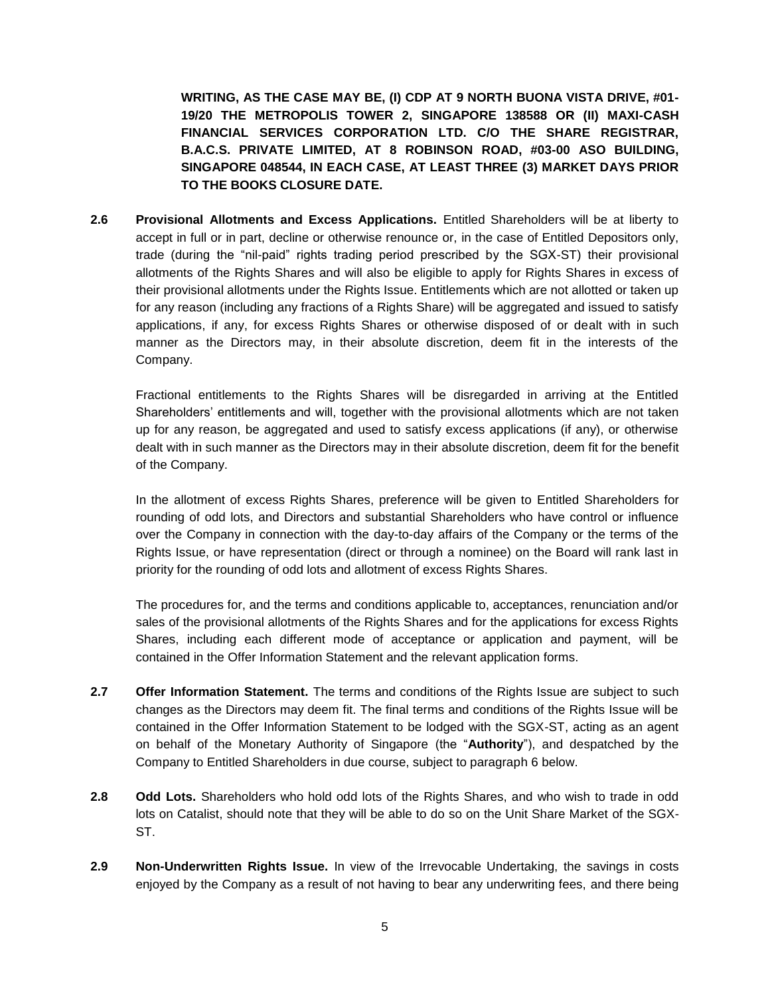**WRITING, AS THE CASE MAY BE, (I) CDP AT 9 NORTH BUONA VISTA DRIVE, #01- 19/20 THE METROPOLIS TOWER 2, SINGAPORE 138588 OR (II) MAXI-CASH FINANCIAL SERVICES CORPORATION LTD. C/O THE SHARE REGISTRAR, B.A.C.S. PRIVATE LIMITED, AT 8 ROBINSON ROAD, #03-00 ASO BUILDING, SINGAPORE 048544, IN EACH CASE, AT LEAST THREE (3) MARKET DAYS PRIOR TO THE BOOKS CLOSURE DATE.** 

**2.6 Provisional Allotments and Excess Applications.** Entitled Shareholders will be at liberty to accept in full or in part, decline or otherwise renounce or, in the case of Entitled Depositors only, trade (during the "nil-paid" rights trading period prescribed by the SGX-ST) their provisional allotments of the Rights Shares and will also be eligible to apply for Rights Shares in excess of their provisional allotments under the Rights Issue. Entitlements which are not allotted or taken up for any reason (including any fractions of a Rights Share) will be aggregated and issued to satisfy applications, if any, for excess Rights Shares or otherwise disposed of or dealt with in such manner as the Directors may, in their absolute discretion, deem fit in the interests of the Company.

Fractional entitlements to the Rights Shares will be disregarded in arriving at the Entitled Shareholders' entitlements and will, together with the provisional allotments which are not taken up for any reason, be aggregated and used to satisfy excess applications (if any), or otherwise dealt with in such manner as the Directors may in their absolute discretion, deem fit for the benefit of the Company.

In the allotment of excess Rights Shares, preference will be given to Entitled Shareholders for rounding of odd lots, and Directors and substantial Shareholders who have control or influence over the Company in connection with the day-to-day affairs of the Company or the terms of the Rights Issue, or have representation (direct or through a nominee) on the Board will rank last in priority for the rounding of odd lots and allotment of excess Rights Shares.

The procedures for, and the terms and conditions applicable to, acceptances, renunciation and/or sales of the provisional allotments of the Rights Shares and for the applications for excess Rights Shares, including each different mode of acceptance or application and payment, will be contained in the Offer Information Statement and the relevant application forms.

- **2.7 Offer Information Statement.** The terms and conditions of the Rights Issue are subject to such changes as the Directors may deem fit. The final terms and conditions of the Rights Issue will be contained in the Offer Information Statement to be lodged with the SGX-ST, acting as an agent on behalf of the Monetary Authority of Singapore (the "**Authority**"), and despatched by the Company to Entitled Shareholders in due course, subject to paragraph [6](#page-7-0) below.
- **2.8 Odd Lots.** Shareholders who hold odd lots of the Rights Shares, and who wish to trade in odd lots on Catalist, should note that they will be able to do so on the Unit Share Market of the SGX-ST.
- **2.9 Non-Underwritten Rights Issue.** In view of the Irrevocable Undertaking, the savings in costs enjoyed by the Company as a result of not having to bear any underwriting fees, and there being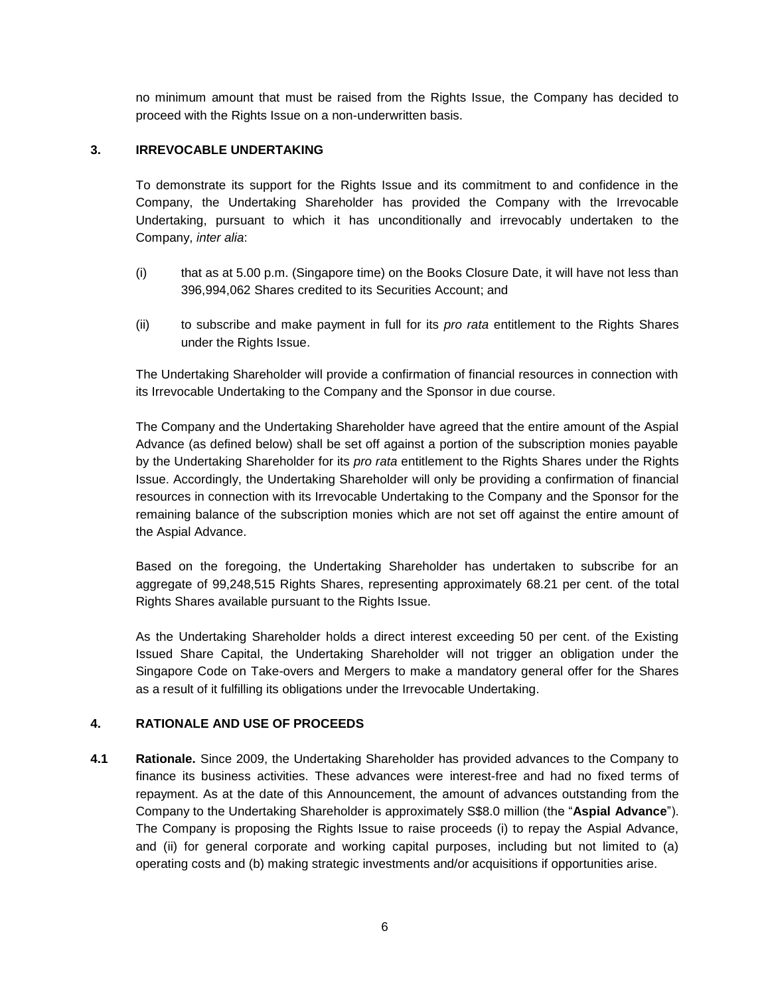no minimum amount that must be raised from the Rights Issue, the Company has decided to proceed with the Rights Issue on a non-underwritten basis.

### **3. IRREVOCABLE UNDERTAKING**

To demonstrate its support for the Rights Issue and its commitment to and confidence in the Company, the Undertaking Shareholder has provided the Company with the Irrevocable Undertaking, pursuant to which it has unconditionally and irrevocably undertaken to the Company, *inter alia*:

- (i) that as at 5.00 p.m. (Singapore time) on the Books Closure Date, it will have not less than 396,994,062 Shares credited to its Securities Account; and
- (ii) to subscribe and make payment in full for its *pro rata* entitlement to the Rights Shares under the Rights Issue.

The Undertaking Shareholder will provide a confirmation of financial resources in connection with its Irrevocable Undertaking to the Company and the Sponsor in due course.

The Company and the Undertaking Shareholder have agreed that the entire amount of the Aspial Advance (as defined below) shall be set off against a portion of the subscription monies payable by the Undertaking Shareholder for its *pro rata* entitlement to the Rights Shares under the Rights Issue. Accordingly, the Undertaking Shareholder will only be providing a confirmation of financial resources in connection with its Irrevocable Undertaking to the Company and the Sponsor for the remaining balance of the subscription monies which are not set off against the entire amount of the Aspial Advance.

Based on the foregoing, the Undertaking Shareholder has undertaken to subscribe for an aggregate of 99,248,515 Rights Shares, representing approximately 68.21 per cent. of the total Rights Shares available pursuant to the Rights Issue.

As the Undertaking Shareholder holds a direct interest exceeding 50 per cent. of the Existing Issued Share Capital, the Undertaking Shareholder will not trigger an obligation under the Singapore Code on Take-overs and Mergers to make a mandatory general offer for the Shares as a result of it fulfilling its obligations under the Irrevocable Undertaking.

## **4. RATIONALE AND USE OF PROCEEDS**

<span id="page-5-0"></span>**4.1 Rationale.** Since 2009, the Undertaking Shareholder has provided advances to the Company to finance its business activities. These advances were interest-free and had no fixed terms of repayment. As at the date of this Announcement, the amount of advances outstanding from the Company to the Undertaking Shareholder is approximately S\$8.0 million (the "**Aspial Advance**"). The Company is proposing the Rights Issue to raise proceeds (i) to repay the Aspial Advance, and (ii) for general corporate and working capital purposes, including but not limited to (a) operating costs and (b) making strategic investments and/or acquisitions if opportunities arise.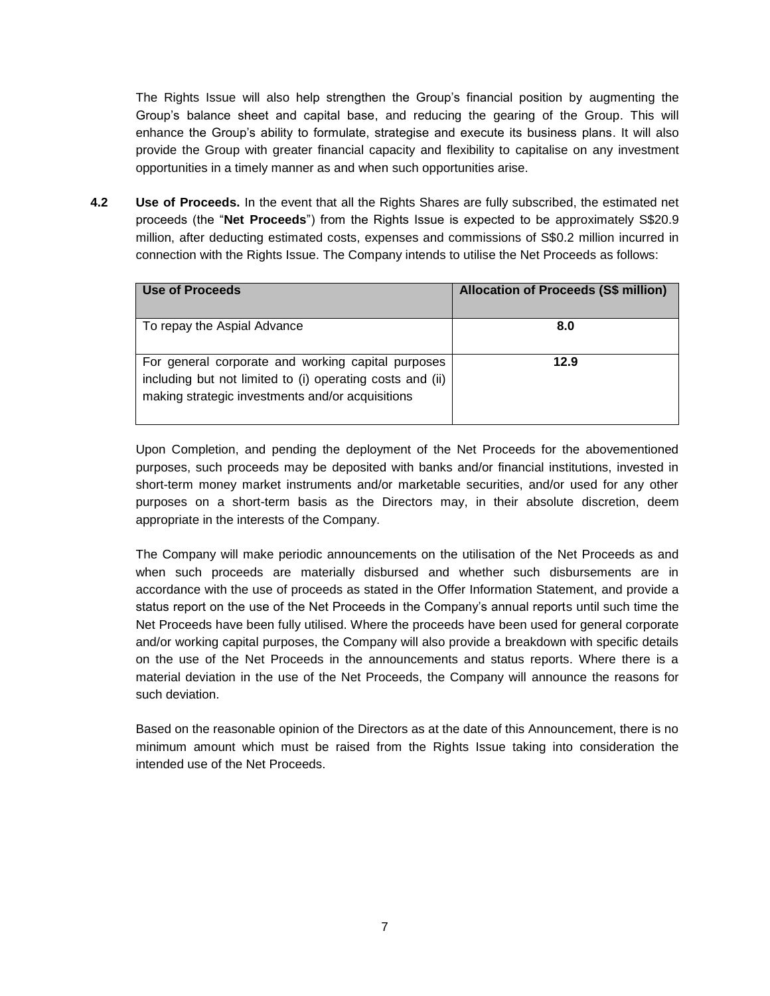The Rights Issue will also help strengthen the Group's financial position by augmenting the Group's balance sheet and capital base, and reducing the gearing of the Group. This will enhance the Group's ability to formulate, strategise and execute its business plans. It will also provide the Group with greater financial capacity and flexibility to capitalise on any investment opportunities in a timely manner as and when such opportunities arise.

**4.2 Use of Proceeds.** In the event that all the Rights Shares are fully subscribed, the estimated net proceeds (the "**Net Proceeds**") from the Rights Issue is expected to be approximately S\$20.9 million, after deducting estimated costs, expenses and commissions of S\$0.2 million incurred in connection with the Rights Issue. The Company intends to utilise the Net Proceeds as follows:

| Use of Proceeds                                                                                                                                                     | <b>Allocation of Proceeds (S\$ million)</b> |
|---------------------------------------------------------------------------------------------------------------------------------------------------------------------|---------------------------------------------|
| To repay the Aspial Advance                                                                                                                                         | 8.0                                         |
| For general corporate and working capital purposes<br>including but not limited to (i) operating costs and (ii)<br>making strategic investments and/or acquisitions | 12.9                                        |

Upon Completion, and pending the deployment of the Net Proceeds for the abovementioned purposes, such proceeds may be deposited with banks and/or financial institutions, invested in short-term money market instruments and/or marketable securities, and/or used for any other purposes on a short-term basis as the Directors may, in their absolute discretion, deem appropriate in the interests of the Company.

The Company will make periodic announcements on the utilisation of the Net Proceeds as and when such proceeds are materially disbursed and whether such disbursements are in accordance with the use of proceeds as stated in the Offer Information Statement, and provide a status report on the use of the Net Proceeds in the Company's annual reports until such time the Net Proceeds have been fully utilised. Where the proceeds have been used for general corporate and/or working capital purposes, the Company will also provide a breakdown with specific details on the use of the Net Proceeds in the announcements and status reports. Where there is a material deviation in the use of the Net Proceeds, the Company will announce the reasons for such deviation.

Based on the reasonable opinion of the Directors as at the date of this Announcement, there is no minimum amount which must be raised from the Rights Issue taking into consideration the intended use of the Net Proceeds.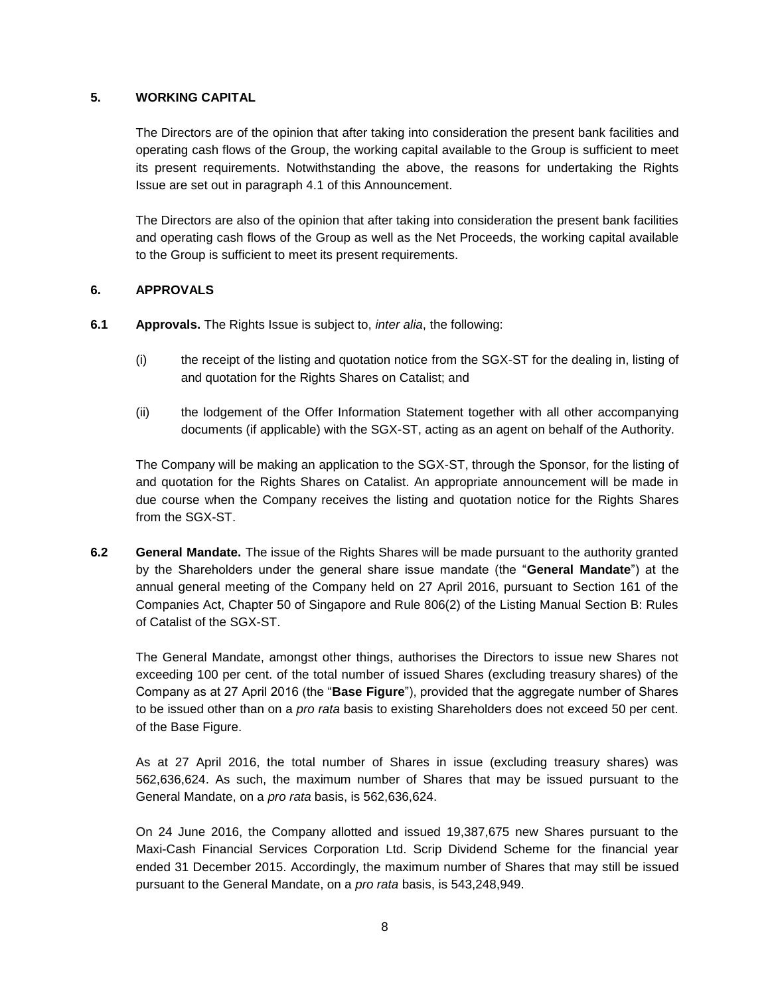#### **5. WORKING CAPITAL**

The Directors are of the opinion that after taking into consideration the present bank facilities and operating cash flows of the Group, the working capital available to the Group is sufficient to meet its present requirements. Notwithstanding the above, the reasons for undertaking the Rights Issue are set out in paragraph [4.1](#page-5-0) of this Announcement.

The Directors are also of the opinion that after taking into consideration the present bank facilities and operating cash flows of the Group as well as the Net Proceeds, the working capital available to the Group is sufficient to meet its present requirements.

### <span id="page-7-0"></span>**6. APPROVALS**

- **6.1 Approvals.** The Rights Issue is subject to, *inter alia*, the following:
	- (i) the receipt of the listing and quotation notice from the SGX-ST for the dealing in, listing of and quotation for the Rights Shares on Catalist; and
	- (ii) the lodgement of the Offer Information Statement together with all other accompanying documents (if applicable) with the SGX-ST, acting as an agent on behalf of the Authority.

The Company will be making an application to the SGX-ST, through the Sponsor, for the listing of and quotation for the Rights Shares on Catalist. An appropriate announcement will be made in due course when the Company receives the listing and quotation notice for the Rights Shares from the SGX-ST.

**6.2 General Mandate.** The issue of the Rights Shares will be made pursuant to the authority granted by the Shareholders under the general share issue mandate (the "**General Mandate**") at the annual general meeting of the Company held on 27 April 2016, pursuant to Section 161 of the Companies Act, Chapter 50 of Singapore and Rule 806(2) of the Listing Manual Section B: Rules of Catalist of the SGX-ST.

The General Mandate, amongst other things, authorises the Directors to issue new Shares not exceeding 100 per cent. of the total number of issued Shares (excluding treasury shares) of the Company as at 27 April 2016 (the "**Base Figure**"), provided that the aggregate number of Shares to be issued other than on a *pro rata* basis to existing Shareholders does not exceed 50 per cent. of the Base Figure.

As at 27 April 2016, the total number of Shares in issue (excluding treasury shares) was 562,636,624. As such, the maximum number of Shares that may be issued pursuant to the General Mandate, on a *pro rata* basis, is 562,636,624.

On 24 June 2016, the Company allotted and issued 19,387,675 new Shares pursuant to the Maxi-Cash Financial Services Corporation Ltd. Scrip Dividend Scheme for the financial year ended 31 December 2015. Accordingly, the maximum number of Shares that may still be issued pursuant to the General Mandate, on a *pro rata* basis, is 543,248,949.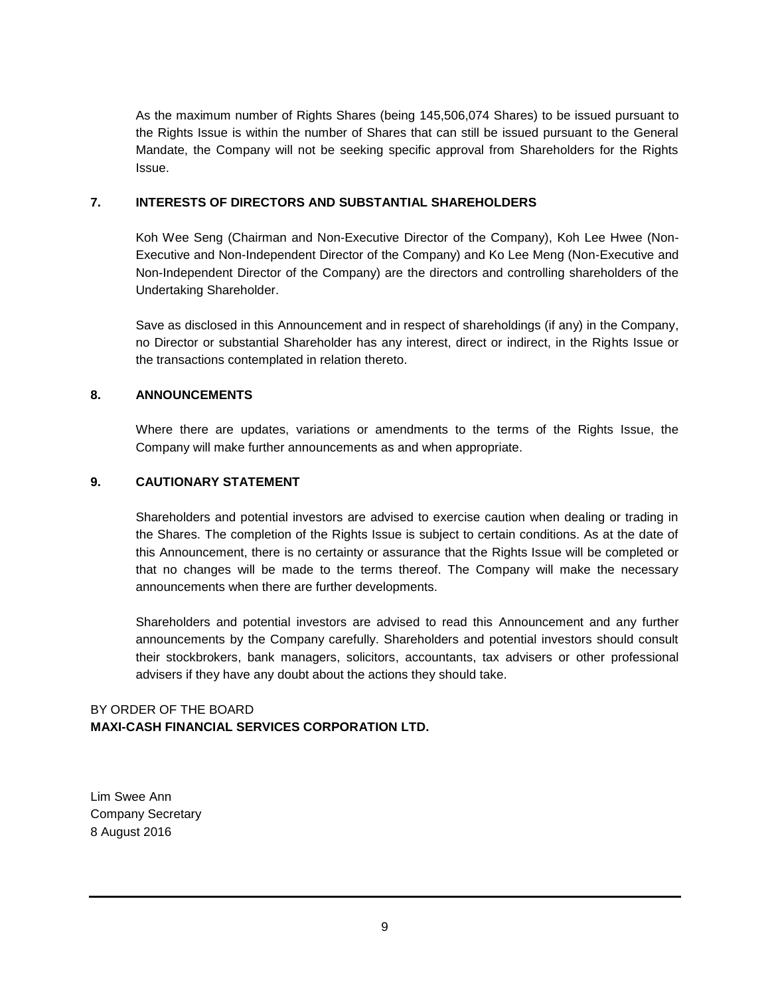As the maximum number of Rights Shares (being 145,506,074 Shares) to be issued pursuant to the Rights Issue is within the number of Shares that can still be issued pursuant to the General Mandate, the Company will not be seeking specific approval from Shareholders for the Rights Issue.

#### **7. INTERESTS OF DIRECTORS AND SUBSTANTIAL SHAREHOLDERS**

Koh Wee Seng (Chairman and Non-Executive Director of the Company), Koh Lee Hwee (Non-Executive and Non-Independent Director of the Company) and Ko Lee Meng (Non-Executive and Non-Independent Director of the Company) are the directors and controlling shareholders of the Undertaking Shareholder.

Save as disclosed in this Announcement and in respect of shareholdings (if any) in the Company, no Director or substantial Shareholder has any interest, direct or indirect, in the Rights Issue or the transactions contemplated in relation thereto.

#### **8. ANNOUNCEMENTS**

Where there are updates, variations or amendments to the terms of the Rights Issue, the Company will make further announcements as and when appropriate.

#### **9. CAUTIONARY STATEMENT**

Shareholders and potential investors are advised to exercise caution when dealing or trading in the Shares. The completion of the Rights Issue is subject to certain conditions. As at the date of this Announcement, there is no certainty or assurance that the Rights Issue will be completed or that no changes will be made to the terms thereof. The Company will make the necessary announcements when there are further developments.

Shareholders and potential investors are advised to read this Announcement and any further announcements by the Company carefully. Shareholders and potential investors should consult their stockbrokers, bank managers, solicitors, accountants, tax advisers or other professional advisers if they have any doubt about the actions they should take.

### BY ORDER OF THE BOARD **MAXI-CASH FINANCIAL SERVICES CORPORATION LTD.**

Lim Swee Ann Company Secretary 8 August 2016